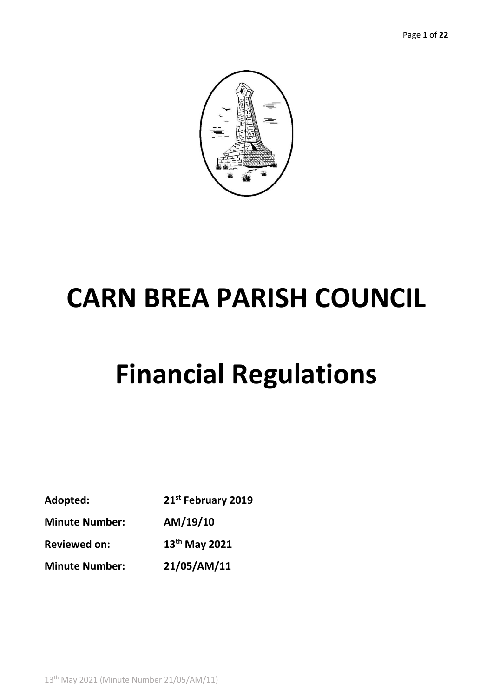

# **CARN BREA PARISH COUNCIL**

# **Financial Regulations**

| Adopted:              | 21st February 2019 |
|-----------------------|--------------------|
| <b>Minute Number:</b> | AM/19/10           |
| <b>Reviewed on:</b>   | $13th$ May 2021    |
| <b>Minute Number:</b> | 21/05/AM/11        |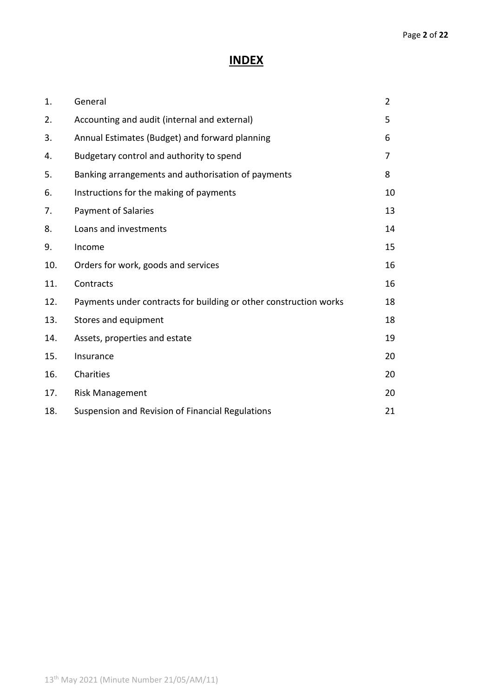# **INDEX**

| 1.  | General                                                           | $\overline{2}$ |
|-----|-------------------------------------------------------------------|----------------|
| 2.  | Accounting and audit (internal and external)                      | 5              |
| 3.  | Annual Estimates (Budget) and forward planning                    | 6              |
| 4.  | Budgetary control and authority to spend                          | 7              |
| 5.  | Banking arrangements and authorisation of payments                | 8              |
| 6.  | Instructions for the making of payments                           | 10             |
| 7.  | <b>Payment of Salaries</b>                                        | 13             |
| 8.  | Loans and investments                                             | 14             |
| 9.  | Income                                                            | 15             |
| 10. | Orders for work, goods and services                               | 16             |
| 11. | Contracts                                                         | 16             |
| 12. | Payments under contracts for building or other construction works | 18             |
| 13. | Stores and equipment                                              | 18             |
| 14. | Assets, properties and estate                                     | 19             |
| 15. | Insurance                                                         | 20             |
| 16. | Charities                                                         | 20             |
| 17. | <b>Risk Management</b>                                            | 20             |
| 18. | Suspension and Revision of Financial Regulations                  | 21             |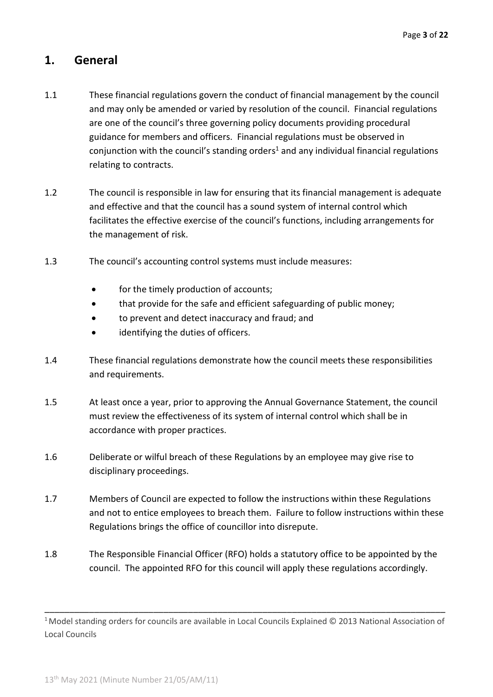## **1. General**

- 1.1 These financial regulations govern the conduct of financial management by the council and may only be amended or varied by resolution of the council. Financial regulations are one of the council's three governing policy documents providing procedural guidance for members and officers. Financial regulations must be observed in conjunction with the council's standing orders<sup>1</sup> and any individual financial regulations relating to contracts.
- 1.2 The council is responsible in law for ensuring that its financial management is adequate and effective and that the council has a sound system of internal control which facilitates the effective exercise of the council's functions, including arrangements for the management of risk.
- 1.3 The council's accounting control systems must include measures:
	- for the timely production of accounts;
	- that provide for the safe and efficient safeguarding of public money;
	- to prevent and detect inaccuracy and fraud; and
	- identifying the duties of officers.
- 1.4 These financial regulations demonstrate how the council meets these responsibilities and requirements.
- 1.5 At least once a year, prior to approving the Annual Governance Statement, the council must review the effectiveness of its system of internal control which shall be in accordance with proper practices.
- 1.6 Deliberate or wilful breach of these Regulations by an employee may give rise to disciplinary proceedings.
- 1.7 Members of Council are expected to follow the instructions within these Regulations and not to entice employees to breach them. Failure to follow instructions within these Regulations brings the office of councillor into disrepute.
- 1.8 The Responsible Financial Officer (RFO) holds a statutory office to be appointed by the council. The appointed RFO for this council will apply these regulations accordingly.

\_\_\_\_\_\_\_\_\_\_\_\_\_\_\_\_\_\_\_\_\_\_\_\_\_\_\_\_\_\_\_\_\_\_\_\_\_\_\_\_\_\_\_\_\_\_\_\_\_\_\_\_\_\_\_\_\_\_\_\_\_\_\_\_\_\_\_\_\_\_\_\_\_\_\_\_\_\_\_\_\_

<sup>&</sup>lt;sup>1</sup> Model standing orders for councils are available in Local Councils Explained © 2013 National Association of Local Councils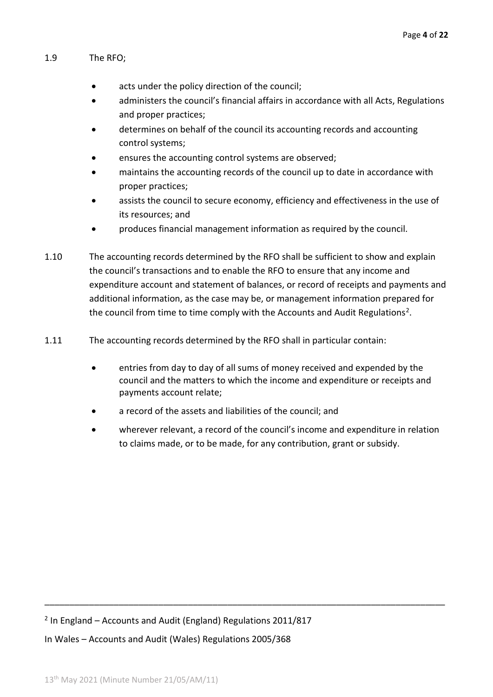#### 1.9 The RFO;

- acts under the policy direction of the council;
- administers the council's financial affairs in accordance with all Acts, Regulations and proper practices;
- determines on behalf of the council its accounting records and accounting control systems;
- ensures the accounting control systems are observed;
- maintains the accounting records of the council up to date in accordance with proper practices;
- assists the council to secure economy, efficiency and effectiveness in the use of its resources; and
- produces financial management information as required by the council.
- 1.10 The accounting records determined by the RFO shall be sufficient to show and explain the council's transactions and to enable the RFO to ensure that any income and expenditure account and statement of balances, or record of receipts and payments and additional information, as the case may be, or management information prepared for the council from time to time comply with the Accounts and Audit Regulations<sup>2</sup>.
- 1.11 The accounting records determined by the RFO shall in particular contain:
	- entries from day to day of all sums of money received and expended by the council and the matters to which the income and expenditure or receipts and payments account relate;
	- a record of the assets and liabilities of the council; and
	- wherever relevant, a record of the council's income and expenditure in relation to claims made, or to be made, for any contribution, grant or subsidy.

\_\_\_\_\_\_\_\_\_\_\_\_\_\_\_\_\_\_\_\_\_\_\_\_\_\_\_\_\_\_\_\_\_\_\_\_\_\_\_\_\_\_\_\_\_\_\_\_\_\_\_\_\_\_\_\_\_\_\_\_\_\_\_\_\_\_\_\_\_\_\_\_\_\_\_\_\_\_\_\_\_

2 In England – Accounts and Audit (England) Regulations 2011/817 In Wales – Accounts and Audit (Wales) Regulations 2005/368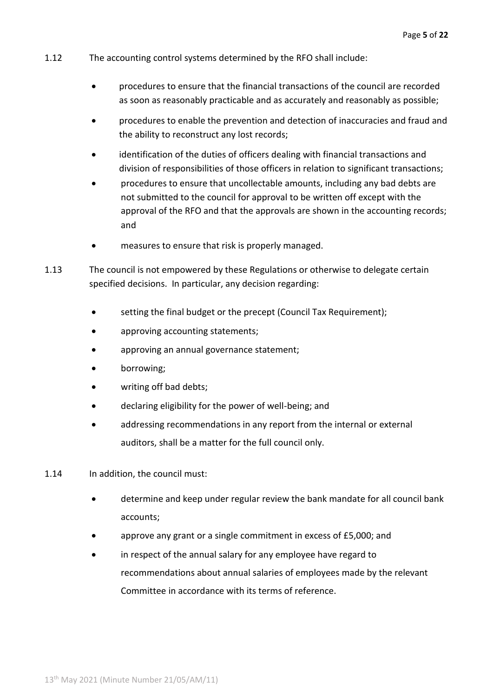- 1.12 The accounting control systems determined by the RFO shall include:
	- procedures to ensure that the financial transactions of the council are recorded as soon as reasonably practicable and as accurately and reasonably as possible;
	- procedures to enable the prevention and detection of inaccuracies and fraud and the ability to reconstruct any lost records;
	- identification of the duties of officers dealing with financial transactions and division of responsibilities of those officers in relation to significant transactions;
	- procedures to ensure that uncollectable amounts, including any bad debts are not submitted to the council for approval to be written off except with the approval of the RFO and that the approvals are shown in the accounting records; and
	- measures to ensure that risk is properly managed.
- 1.13 The council is not empowered by these Regulations or otherwise to delegate certain specified decisions. In particular, any decision regarding:
	- setting the final budget or the precept (Council Tax Requirement);
	- approving accounting statements;
	- approving an annual governance statement;
	- borrowing;
	- writing off bad debts;
	- declaring eligibility for the power of well-being; and
	- addressing recommendations in any report from the internal or external auditors, shall be a matter for the full council only.
- 1.14 In addition, the council must:
	- determine and keep under regular review the bank mandate for all council bank accounts;
	- approve any grant or a single commitment in excess of £5,000; and
	- in respect of the annual salary for any employee have regard to recommendations about annual salaries of employees made by the relevant Committee in accordance with its terms of reference.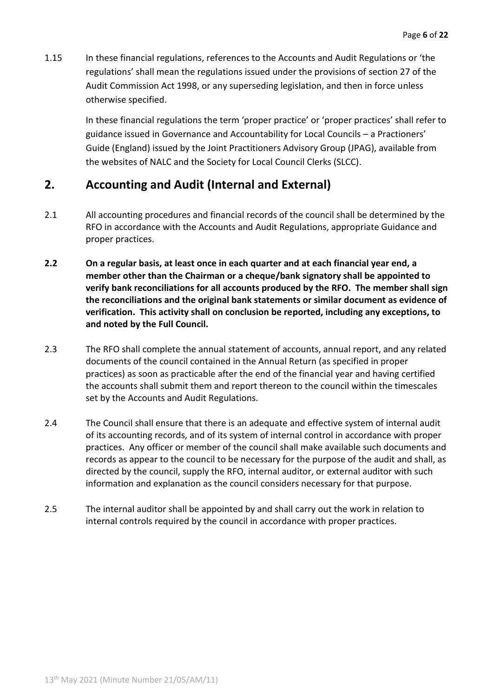1.15 In these financial regulations, references to the Accounts and Audit Regulations or 'the regulations' shall mean the regulations issued under the provisions of section 27 of the Audit Commission Act 1998, or any superseding legislation, and then in force unless otherwise specified.

> In these financial regulations the term 'proper practice' or 'proper practices' shall refer to guidance issued in Governance and Accountability for Local Councils – a Practioners' Guide (England) issued by the Joint Practitioners Advisory Group (JPAG), available from the websites of NALC and the Society for Local Council Clerks (SLCC).

# **2. Accounting and Audit (Internal and External)**

- 2.1 All accounting procedures and financial records of the council shall be determined by the RFO in accordance with the Accounts and Audit Regulations, appropriate Guidance and proper practices.
- **2.2 On a regular basis, at least once in each quarter and at each financial year end, a member other than the Chairman or a cheque/bank signatory shall be appointed to verify bank reconciliations for all accounts produced by the RFO. The member shall sign the reconciliations and the original bank statements or similar document as evidence of verification. This activity shall on conclusion be reported, including any exceptions, to and noted by the Full Council.**
- 2.3 The RFO shall complete the annual statement of accounts, annual report, and any related documents of the council contained in the Annual Return (as specified in proper practices) as soon as practicable after the end of the financial year and having certified the accounts shall submit them and report thereon to the council within the timescales set by the Accounts and Audit Regulations.
- 2.4 The Council shall ensure that there is an adequate and effective system of internal audit of its accounting records, and of its system of internal control in accordance with proper practices. Any officer or member of the council shall make available such documents and records as appear to the council to be necessary for the purpose of the audit and shall, as directed by the council, supply the RFO, internal auditor, or external auditor with such information and explanation as the council considers necessary for that purpose.
- 2.5 The internal auditor shall be appointed by and shall carry out the work in relation to internal controls required by the council in accordance with proper practices.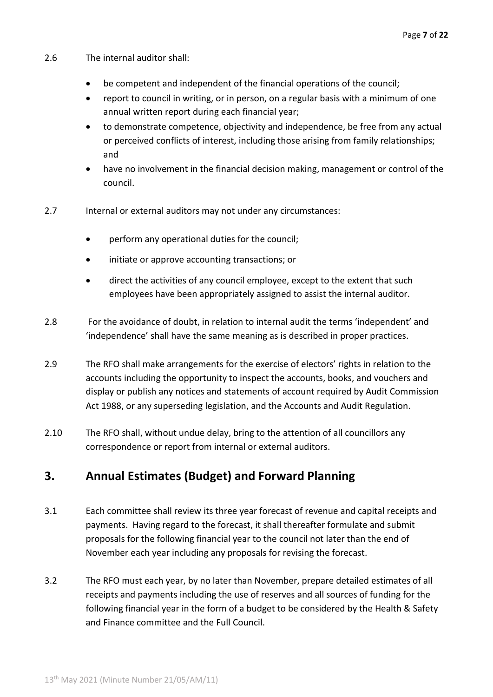- 2.6 The internal auditor shall:
	- be competent and independent of the financial operations of the council;
	- report to council in writing, or in person, on a regular basis with a minimum of one annual written report during each financial year;
	- to demonstrate competence, objectivity and independence, be free from any actual or perceived conflicts of interest, including those arising from family relationships; and
	- have no involvement in the financial decision making, management or control of the council.
- 2.7 Internal or external auditors may not under any circumstances:
	- perform any operational duties for the council;
	- initiate or approve accounting transactions; or
	- direct the activities of any council employee, except to the extent that such employees have been appropriately assigned to assist the internal auditor.
- 2.8 For the avoidance of doubt, in relation to internal audit the terms 'independent' and 'independence' shall have the same meaning as is described in proper practices.
- 2.9 The RFO shall make arrangements for the exercise of electors' rights in relation to the accounts including the opportunity to inspect the accounts, books, and vouchers and display or publish any notices and statements of account required by Audit Commission Act 1988, or any superseding legislation, and the Accounts and Audit Regulation.
- 2.10 The RFO shall, without undue delay, bring to the attention of all councillors any correspondence or report from internal or external auditors.

## **3. Annual Estimates (Budget) and Forward Planning**

- 3.1 Each committee shall review its three year forecast of revenue and capital receipts and payments. Having regard to the forecast, it shall thereafter formulate and submit proposals for the following financial year to the council not later than the end of November each year including any proposals for revising the forecast.
- 3.2 The RFO must each year, by no later than November, prepare detailed estimates of all receipts and payments including the use of reserves and all sources of funding for the following financial year in the form of a budget to be considered by the Health & Safety and Finance committee and the Full Council.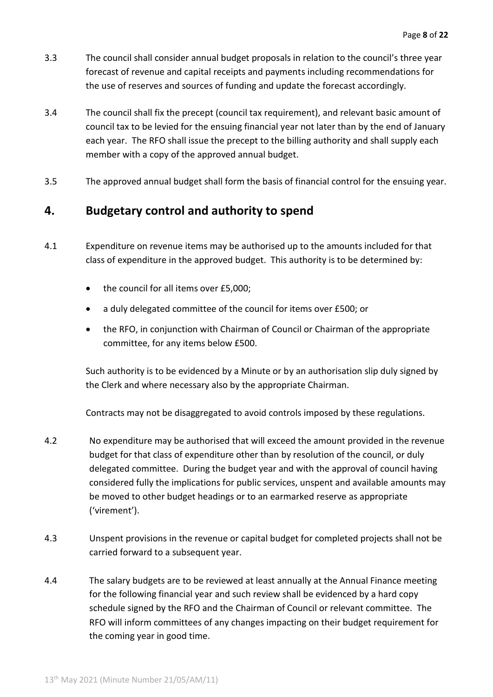- 3.3 The council shall consider annual budget proposals in relation to the council's three year forecast of revenue and capital receipts and payments including recommendations for the use of reserves and sources of funding and update the forecast accordingly.
- 3.4 The council shall fix the precept (council tax requirement), and relevant basic amount of council tax to be levied for the ensuing financial year not later than by the end of January each year. The RFO shall issue the precept to the billing authority and shall supply each member with a copy of the approved annual budget.
- 3.5 The approved annual budget shall form the basis of financial control for the ensuing year.

# **4. Budgetary control and authority to spend**

- 4.1 Expenditure on revenue items may be authorised up to the amounts included for that class of expenditure in the approved budget. This authority is to be determined by:
	- the council for all items over £5,000;
	- a duly delegated committee of the council for items over £500; or
	- the RFO, in conjunction with Chairman of Council or Chairman of the appropriate committee, for any items below £500.

Such authority is to be evidenced by a Minute or by an authorisation slip duly signed by the Clerk and where necessary also by the appropriate Chairman.

Contracts may not be disaggregated to avoid controls imposed by these regulations.

- 4.2 No expenditure may be authorised that will exceed the amount provided in the revenue budget for that class of expenditure other than by resolution of the council, or duly delegated committee. During the budget year and with the approval of council having considered fully the implications for public services, unspent and available amounts may be moved to other budget headings or to an earmarked reserve as appropriate ('virement').
- 4.3 Unspent provisions in the revenue or capital budget for completed projects shall not be carried forward to a subsequent year.
- 4.4 The salary budgets are to be reviewed at least annually at the Annual Finance meeting for the following financial year and such review shall be evidenced by a hard copy schedule signed by the RFO and the Chairman of Council or relevant committee. The RFO will inform committees of any changes impacting on their budget requirement for the coming year in good time.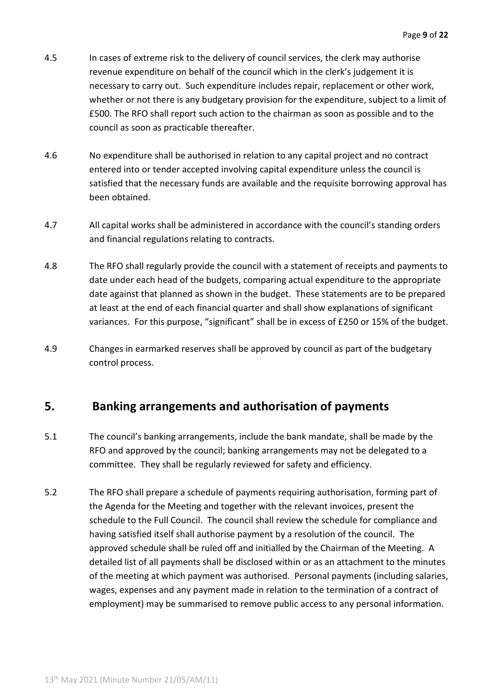- 4.5 In cases of extreme risk to the delivery of council services, the clerk may authorise revenue expenditure on behalf of the council which in the clerk's judgement it is necessary to carry out. Such expenditure includes repair, replacement or other work, whether or not there is any budgetary provision for the expenditure, subject to a limit of £500. The RFO shall report such action to the chairman as soon as possible and to the council as soon as practicable thereafter.
- 4.6 No expenditure shall be authorised in relation to any capital project and no contract entered into or tender accepted involving capital expenditure unless the council is satisfied that the necessary funds are available and the requisite borrowing approval has been obtained.
- 4.7 All capital works shall be administered in accordance with the council's standing orders and financial regulations relating to contracts.
- 4.8 The RFO shall regularly provide the council with a statement of receipts and payments to date under each head of the budgets, comparing actual expenditure to the appropriate date against that planned as shown in the budget. These statements are to be prepared at least at the end of each financial quarter and shall show explanations of significant variances. For this purpose, "significant" shall be in excess of £250 or 15% of the budget.
- 4.9 Changes in earmarked reserves shall be approved by council as part of the budgetary control process.

### **5. Banking arrangements and authorisation of payments**

- 5.1 The council's banking arrangements, include the bank mandate, shall be made by the RFO and approved by the council; banking arrangements may not be delegated to a committee. They shall be regularly reviewed for safety and efficiency.
- 5.2 The RFO shall prepare a schedule of payments requiring authorisation, forming part of the Agenda for the Meeting and together with the relevant invoices, present the schedule to the Full Council. The council shall review the schedule for compliance and having satisfied itself shall authorise payment by a resolution of the council. The approved schedule shall be ruled off and initialled by the Chairman of the Meeting. A detailed list of all payments shall be disclosed within or as an attachment to the minutes of the meeting at which payment was authorised. Personal payments (including salaries, wages, expenses and any payment made in relation to the termination of a contract of employment) may be summarised to remove public access to any personal information.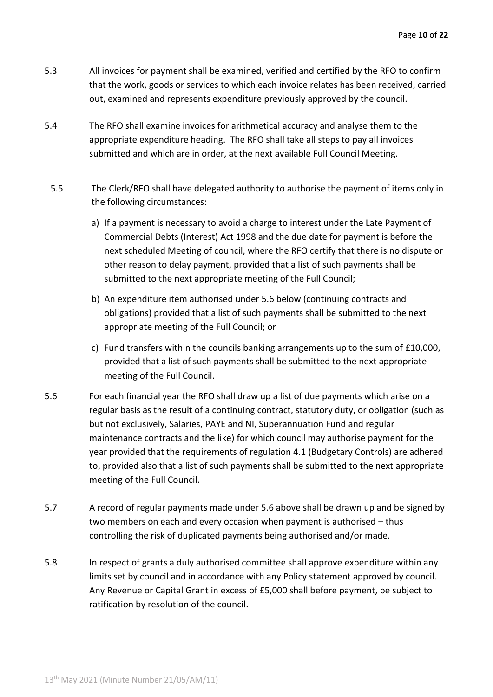- 5.3 All invoices for payment shall be examined, verified and certified by the RFO to confirm that the work, goods or services to which each invoice relates has been received, carried out, examined and represents expenditure previously approved by the council.
- 5.4 The RFO shall examine invoices for arithmetical accuracy and analyse them to the appropriate expenditure heading. The RFO shall take all steps to pay all invoices submitted and which are in order, at the next available Full Council Meeting.
- 5.5 The Clerk/RFO shall have delegated authority to authorise the payment of items only in the following circumstances:
	- a) If a payment is necessary to avoid a charge to interest under the Late Payment of Commercial Debts (Interest) Act 1998 and the due date for payment is before the next scheduled Meeting of council, where the RFO certify that there is no dispute or other reason to delay payment, provided that a list of such payments shall be submitted to the next appropriate meeting of the Full Council;
	- b) An expenditure item authorised under 5.6 below (continuing contracts and obligations) provided that a list of such payments shall be submitted to the next appropriate meeting of the Full Council; or
	- c) Fund transfers within the councils banking arrangements up to the sum of  $£10,000$ , provided that a list of such payments shall be submitted to the next appropriate meeting of the Full Council.
- 5.6 For each financial year the RFO shall draw up a list of due payments which arise on a regular basis as the result of a continuing contract, statutory duty, or obligation (such as but not exclusively, Salaries, PAYE and NI, Superannuation Fund and regular maintenance contracts and the like) for which council may authorise payment for the year provided that the requirements of regulation 4.1 (Budgetary Controls) are adhered to, provided also that a list of such payments shall be submitted to the next appropriate meeting of the Full Council.
- 5.7 A record of regular payments made under 5.6 above shall be drawn up and be signed by two members on each and every occasion when payment is authorised – thus controlling the risk of duplicated payments being authorised and/or made.
- 5.8 In respect of grants a duly authorised committee shall approve expenditure within any limits set by council and in accordance with any Policy statement approved by council. Any Revenue or Capital Grant in excess of £5,000 shall before payment, be subject to ratification by resolution of the council.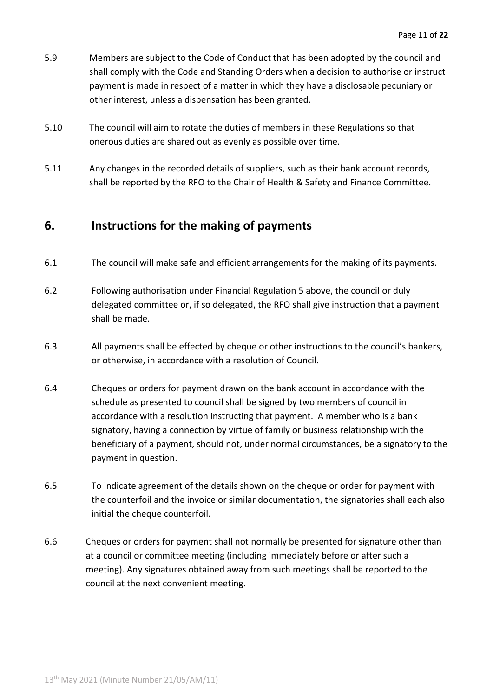- 5.9 Members are subject to the Code of Conduct that has been adopted by the council and shall comply with the Code and Standing Orders when a decision to authorise or instruct payment is made in respect of a matter in which they have a disclosable pecuniary or other interest, unless a dispensation has been granted.
- 5.10 The council will aim to rotate the duties of members in these Regulations so that onerous duties are shared out as evenly as possible over time.
- 5.11 Any changes in the recorded details of suppliers, such as their bank account records, shall be reported by the RFO to the Chair of Health & Safety and Finance Committee.

### **6. Instructions for the making of payments**

- 6.1 The council will make safe and efficient arrangements for the making of its payments.
- 6.2 Following authorisation under Financial Regulation 5 above, the council or duly delegated committee or, if so delegated, the RFO shall give instruction that a payment shall be made.
- 6.3 All payments shall be effected by cheque or other instructions to the council's bankers, or otherwise, in accordance with a resolution of Council.
- 6.4 Cheques or orders for payment drawn on the bank account in accordance with the schedule as presented to council shall be signed by two members of council in accordance with a resolution instructing that payment. A member who is a bank signatory, having a connection by virtue of family or business relationship with the beneficiary of a payment, should not, under normal circumstances, be a signatory to the payment in question.
- 6.5 To indicate agreement of the details shown on the cheque or order for payment with the counterfoil and the invoice or similar documentation, the signatories shall each also initial the cheque counterfoil.
- 6.6 Cheques or orders for payment shall not normally be presented for signature other than at a council or committee meeting (including immediately before or after such a meeting). Any signatures obtained away from such meetings shall be reported to the council at the next convenient meeting.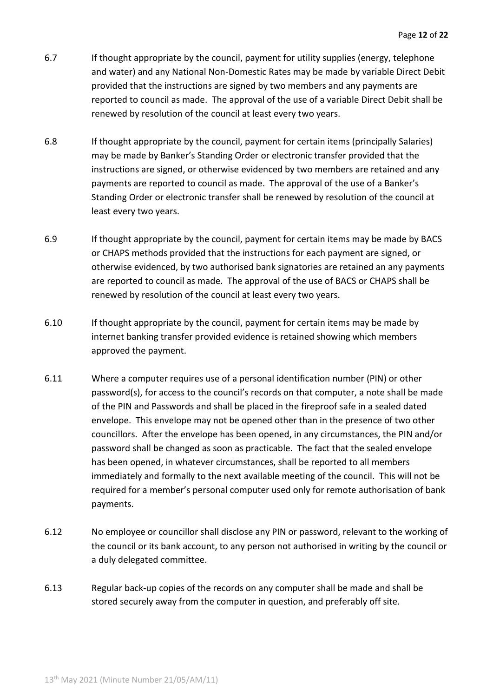- 6.7 If thought appropriate by the council, payment for utility supplies (energy, telephone and water) and any National Non-Domestic Rates may be made by variable Direct Debit provided that the instructions are signed by two members and any payments are reported to council as made. The approval of the use of a variable Direct Debit shall be renewed by resolution of the council at least every two years.
- 6.8 If thought appropriate by the council, payment for certain items (principally Salaries) may be made by Banker's Standing Order or electronic transfer provided that the instructions are signed, or otherwise evidenced by two members are retained and any payments are reported to council as made. The approval of the use of a Banker's Standing Order or electronic transfer shall be renewed by resolution of the council at least every two years.
- 6.9 If thought appropriate by the council, payment for certain items may be made by BACS or CHAPS methods provided that the instructions for each payment are signed, or otherwise evidenced, by two authorised bank signatories are retained an any payments are reported to council as made. The approval of the use of BACS or CHAPS shall be renewed by resolution of the council at least every two years.
- 6.10 If thought appropriate by the council, payment for certain items may be made by internet banking transfer provided evidence is retained showing which members approved the payment.
- 6.11 Where a computer requires use of a personal identification number (PIN) or other password(s), for access to the council's records on that computer, a note shall be made of the PIN and Passwords and shall be placed in the fireproof safe in a sealed dated envelope. This envelope may not be opened other than in the presence of two other councillors. After the envelope has been opened, in any circumstances, the PIN and/or password shall be changed as soon as practicable. The fact that the sealed envelope has been opened, in whatever circumstances, shall be reported to all members immediately and formally to the next available meeting of the council. This will not be required for a member's personal computer used only for remote authorisation of bank payments.
- 6.12 No employee or councillor shall disclose any PIN or password, relevant to the working of the council or its bank account, to any person not authorised in writing by the council or a duly delegated committee.
- 6.13 Regular back-up copies of the records on any computer shall be made and shall be stored securely away from the computer in question, and preferably off site.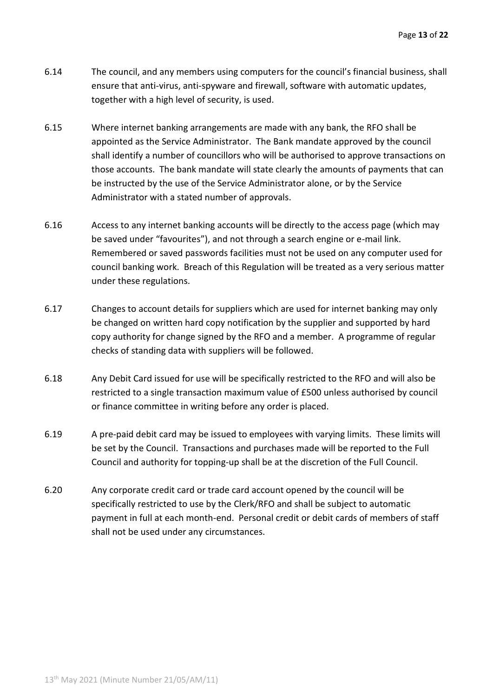- 6.14 The council, and any members using computers for the council's financial business, shall ensure that anti-virus, anti-spyware and firewall, software with automatic updates, together with a high level of security, is used.
- 6.15 Where internet banking arrangements are made with any bank, the RFO shall be appointed as the Service Administrator. The Bank mandate approved by the council shall identify a number of councillors who will be authorised to approve transactions on those accounts. The bank mandate will state clearly the amounts of payments that can be instructed by the use of the Service Administrator alone, or by the Service Administrator with a stated number of approvals.
- 6.16 Access to any internet banking accounts will be directly to the access page (which may be saved under "favourites"), and not through a search engine or e-mail link. Remembered or saved passwords facilities must not be used on any computer used for council banking work. Breach of this Regulation will be treated as a very serious matter under these regulations.
- 6.17 Changes to account details for suppliers which are used for internet banking may only be changed on written hard copy notification by the supplier and supported by hard copy authority for change signed by the RFO and a member. A programme of regular checks of standing data with suppliers will be followed.
- 6.18 Any Debit Card issued for use will be specifically restricted to the RFO and will also be restricted to a single transaction maximum value of £500 unless authorised by council or finance committee in writing before any order is placed.
- 6.19 A pre-paid debit card may be issued to employees with varying limits. These limits will be set by the Council. Transactions and purchases made will be reported to the Full Council and authority for topping-up shall be at the discretion of the Full Council.
- 6.20 Any corporate credit card or trade card account opened by the council will be specifically restricted to use by the Clerk/RFO and shall be subject to automatic payment in full at each month-end. Personal credit or debit cards of members of staff shall not be used under any circumstances.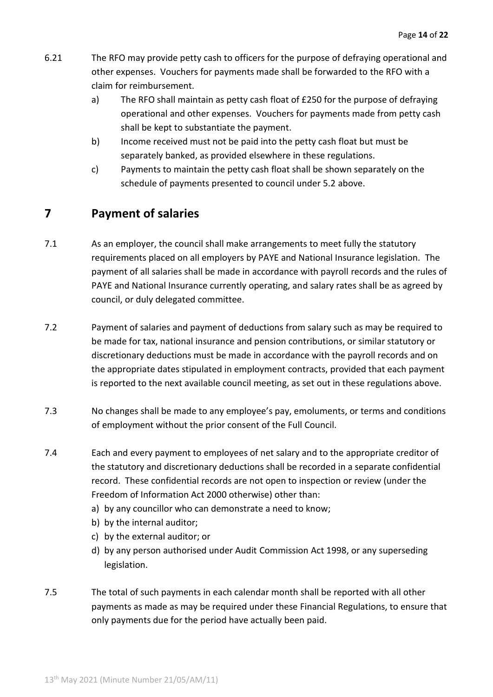- 6.21 The RFO may provide petty cash to officers for the purpose of defraying operational and other expenses. Vouchers for payments made shall be forwarded to the RFO with a claim for reimbursement.
	- a) The RFO shall maintain as petty cash float of £250 for the purpose of defraying operational and other expenses. Vouchers for payments made from petty cash shall be kept to substantiate the payment.
	- b) Income received must not be paid into the petty cash float but must be separately banked, as provided elsewhere in these regulations.
	- c) Payments to maintain the petty cash float shall be shown separately on the schedule of payments presented to council under 5.2 above.

# **7 Payment of salaries**

- 7.1 As an employer, the council shall make arrangements to meet fully the statutory requirements placed on all employers by PAYE and National Insurance legislation. The payment of all salaries shall be made in accordance with payroll records and the rules of PAYE and National Insurance currently operating, and salary rates shall be as agreed by council, or duly delegated committee.
- 7.2 Payment of salaries and payment of deductions from salary such as may be required to be made for tax, national insurance and pension contributions, or similar statutory or discretionary deductions must be made in accordance with the payroll records and on the appropriate dates stipulated in employment contracts, provided that each payment is reported to the next available council meeting, as set out in these regulations above.
- 7.3 No changes shall be made to any employee's pay, emoluments, or terms and conditions of employment without the prior consent of the Full Council.
- 7.4 Each and every payment to employees of net salary and to the appropriate creditor of the statutory and discretionary deductions shall be recorded in a separate confidential record. These confidential records are not open to inspection or review (under the Freedom of Information Act 2000 otherwise) other than:
	- a) by any councillor who can demonstrate a need to know;
	- b) by the internal auditor;
	- c) by the external auditor; or
	- d) by any person authorised under Audit Commission Act 1998, or any superseding legislation.
- 7.5 The total of such payments in each calendar month shall be reported with all other payments as made as may be required under these Financial Regulations, to ensure that only payments due for the period have actually been paid.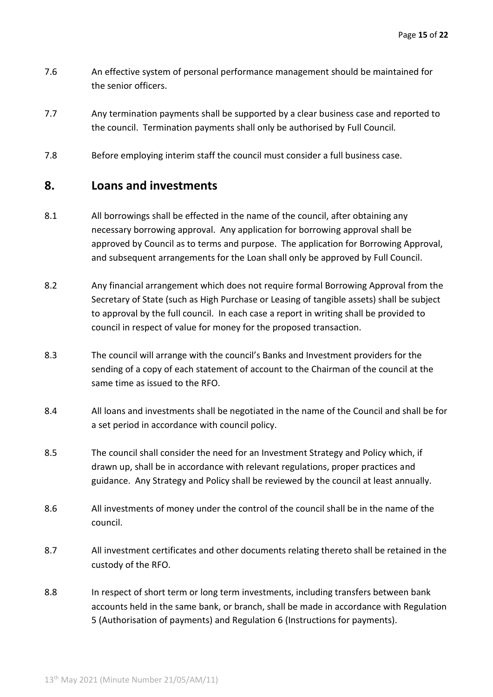- 7.6 An effective system of personal performance management should be maintained for the senior officers.
- 7.7 Any termination payments shall be supported by a clear business case and reported to the council. Termination payments shall only be authorised by Full Council.
- 7.8 Before employing interim staff the council must consider a full business case.

#### **8. Loans and investments**

- 8.1 All borrowings shall be effected in the name of the council, after obtaining any necessary borrowing approval. Any application for borrowing approval shall be approved by Council as to terms and purpose. The application for Borrowing Approval, and subsequent arrangements for the Loan shall only be approved by Full Council.
- 8.2 Any financial arrangement which does not require formal Borrowing Approval from the Secretary of State (such as High Purchase or Leasing of tangible assets) shall be subject to approval by the full council. In each case a report in writing shall be provided to council in respect of value for money for the proposed transaction.
- 8.3 The council will arrange with the council's Banks and Investment providers for the sending of a copy of each statement of account to the Chairman of the council at the same time as issued to the RFO.
- 8.4 All loans and investments shall be negotiated in the name of the Council and shall be for a set period in accordance with council policy.
- 8.5 The council shall consider the need for an Investment Strategy and Policy which, if drawn up, shall be in accordance with relevant regulations, proper practices and guidance. Any Strategy and Policy shall be reviewed by the council at least annually.
- 8.6 All investments of money under the control of the council shall be in the name of the council.
- 8.7 All investment certificates and other documents relating thereto shall be retained in the custody of the RFO.
- 8.8 In respect of short term or long term investments, including transfers between bank accounts held in the same bank, or branch, shall be made in accordance with Regulation 5 (Authorisation of payments) and Regulation 6 (Instructions for payments).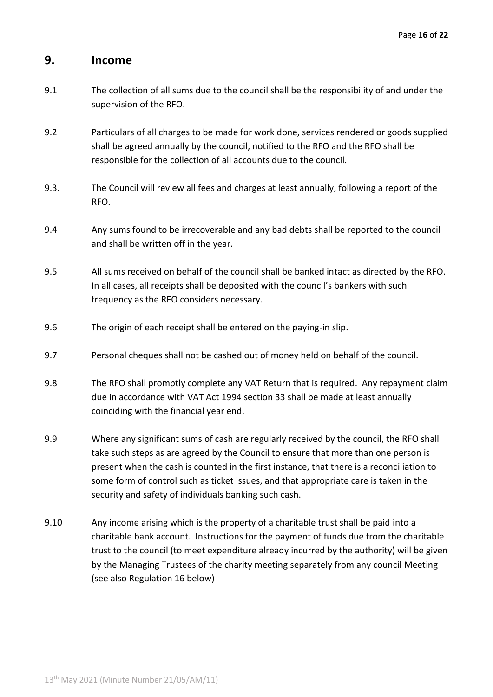#### **9. Income**

- 9.1 The collection of all sums due to the council shall be the responsibility of and under the supervision of the RFO.
- 9.2 Particulars of all charges to be made for work done, services rendered or goods supplied shall be agreed annually by the council, notified to the RFO and the RFO shall be responsible for the collection of all accounts due to the council.
- 9.3. The Council will review all fees and charges at least annually, following a report of the RFO.
- 9.4 Any sums found to be irrecoverable and any bad debts shall be reported to the council and shall be written off in the year.
- 9.5 All sums received on behalf of the council shall be banked intact as directed by the RFO. In all cases, all receipts shall be deposited with the council's bankers with such frequency as the RFO considers necessary.
- 9.6 The origin of each receipt shall be entered on the paying-in slip.
- 9.7 Personal cheques shall not be cashed out of money held on behalf of the council.
- 9.8 The RFO shall promptly complete any VAT Return that is required. Any repayment claim due in accordance with VAT Act 1994 section 33 shall be made at least annually coinciding with the financial year end.
- 9.9 Where any significant sums of cash are regularly received by the council, the RFO shall take such steps as are agreed by the Council to ensure that more than one person is present when the cash is counted in the first instance, that there is a reconciliation to some form of control such as ticket issues, and that appropriate care is taken in the security and safety of individuals banking such cash.
- 9.10 Any income arising which is the property of a charitable trust shall be paid into a charitable bank account. Instructions for the payment of funds due from the charitable trust to the council (to meet expenditure already incurred by the authority) will be given by the Managing Trustees of the charity meeting separately from any council Meeting (see also Regulation 16 below)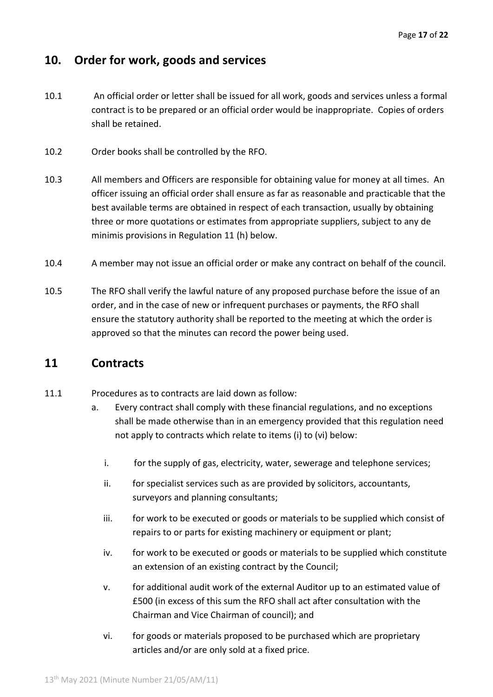# **10. Order for work, goods and services**

- 10.1 An official order or letter shall be issued for all work, goods and services unless a formal contract is to be prepared or an official order would be inappropriate. Copies of orders shall be retained.
- 10.2 Order books shall be controlled by the RFO.
- 10.3 All members and Officers are responsible for obtaining value for money at all times. An officer issuing an official order shall ensure as far as reasonable and practicable that the best available terms are obtained in respect of each transaction, usually by obtaining three or more quotations or estimates from appropriate suppliers, subject to any de minimis provisions in Regulation 11 (h) below.
- 10.4 A member may not issue an official order or make any contract on behalf of the council.
- 10.5 The RFO shall verify the lawful nature of any proposed purchase before the issue of an order, and in the case of new or infrequent purchases or payments, the RFO shall ensure the statutory authority shall be reported to the meeting at which the order is approved so that the minutes can record the power being used.

#### **11 Contracts**

- 11.1 Procedures as to contracts are laid down as follow:
	- a. Every contract shall comply with these financial regulations, and no exceptions shall be made otherwise than in an emergency provided that this regulation need not apply to contracts which relate to items (i) to (vi) below:
		- i. for the supply of gas, electricity, water, sewerage and telephone services;
		- ii. for specialist services such as are provided by solicitors, accountants, surveyors and planning consultants;
		- iii. for work to be executed or goods or materials to be supplied which consist of repairs to or parts for existing machinery or equipment or plant;
		- iv. for work to be executed or goods or materials to be supplied which constitute an extension of an existing contract by the Council;
		- v. for additional audit work of the external Auditor up to an estimated value of £500 (in excess of this sum the RFO shall act after consultation with the Chairman and Vice Chairman of council); and
		- vi. for goods or materials proposed to be purchased which are proprietary articles and/or are only sold at a fixed price.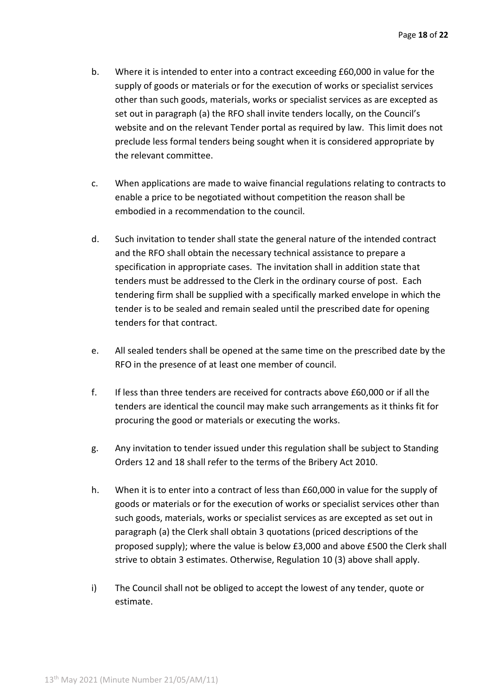- b. Where it is intended to enter into a contract exceeding £60,000 in value for the supply of goods or materials or for the execution of works or specialist services other than such goods, materials, works or specialist services as are excepted as set out in paragraph (a) the RFO shall invite tenders locally, on the Council's website and on the relevant Tender portal as required by law. This limit does not preclude less formal tenders being sought when it is considered appropriate by the relevant committee.
- c. When applications are made to waive financial regulations relating to contracts to enable a price to be negotiated without competition the reason shall be embodied in a recommendation to the council.
- d. Such invitation to tender shall state the general nature of the intended contract and the RFO shall obtain the necessary technical assistance to prepare a specification in appropriate cases. The invitation shall in addition state that tenders must be addressed to the Clerk in the ordinary course of post. Each tendering firm shall be supplied with a specifically marked envelope in which the tender is to be sealed and remain sealed until the prescribed date for opening tenders for that contract.
- e. All sealed tenders shall be opened at the same time on the prescribed date by the RFO in the presence of at least one member of council.
- f. If less than three tenders are received for contracts above £60,000 or if all the tenders are identical the council may make such arrangements as it thinks fit for procuring the good or materials or executing the works.
- g. Any invitation to tender issued under this regulation shall be subject to Standing Orders 12 and 18 shall refer to the terms of the Bribery Act 2010.
- h. When it is to enter into a contract of less than £60,000 in value for the supply of goods or materials or for the execution of works or specialist services other than such goods, materials, works or specialist services as are excepted as set out in paragraph (a) the Clerk shall obtain 3 quotations (priced descriptions of the proposed supply); where the value is below £3,000 and above £500 the Clerk shall strive to obtain 3 estimates. Otherwise, Regulation 10 (3) above shall apply.
- i) The Council shall not be obliged to accept the lowest of any tender, quote or estimate.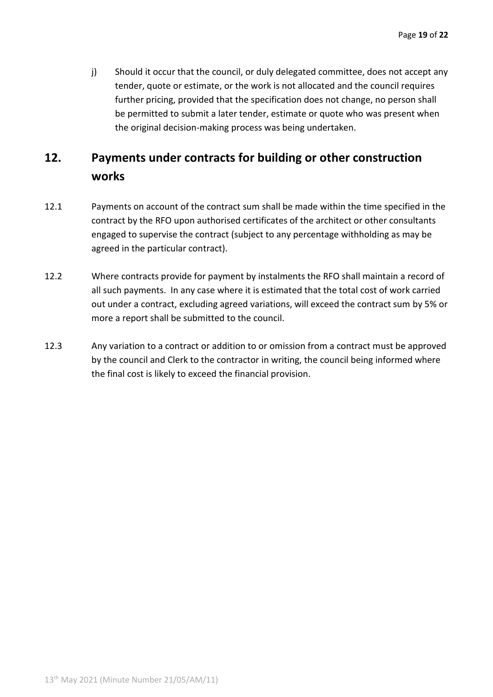j) Should it occur that the council, or duly delegated committee, does not accept any tender, quote or estimate, or the work is not allocated and the council requires further pricing, provided that the specification does not change, no person shall be permitted to submit a later tender, estimate or quote who was present when the original decision-making process was being undertaken.

# **12. Payments under contracts for building or other construction works**

- 12.1 Payments on account of the contract sum shall be made within the time specified in the contract by the RFO upon authorised certificates of the architect or other consultants engaged to supervise the contract (subject to any percentage withholding as may be agreed in the particular contract).
- 12.2 Where contracts provide for payment by instalments the RFO shall maintain a record of all such payments. In any case where it is estimated that the total cost of work carried out under a contract, excluding agreed variations, will exceed the contract sum by 5% or more a report shall be submitted to the council.
- 12.3 Any variation to a contract or addition to or omission from a contract must be approved by the council and Clerk to the contractor in writing, the council being informed where the final cost is likely to exceed the financial provision.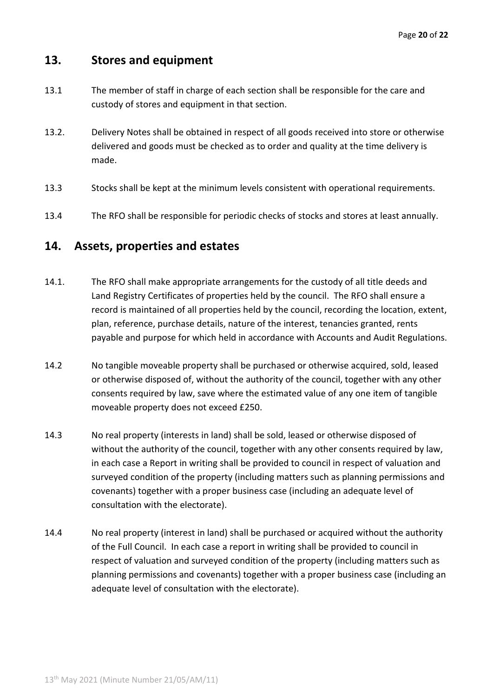## **13. Stores and equipment**

- 13.1 The member of staff in charge of each section shall be responsible for the care and custody of stores and equipment in that section.
- 13.2. Delivery Notes shall be obtained in respect of all goods received into store or otherwise delivered and goods must be checked as to order and quality at the time delivery is made.
- 13.3 Stocks shall be kept at the minimum levels consistent with operational requirements.
- 13.4 The RFO shall be responsible for periodic checks of stocks and stores at least annually.

#### **14. Assets, properties and estates**

- 14.1. The RFO shall make appropriate arrangements for the custody of all title deeds and Land Registry Certificates of properties held by the council. The RFO shall ensure a record is maintained of all properties held by the council, recording the location, extent, plan, reference, purchase details, nature of the interest, tenancies granted, rents payable and purpose for which held in accordance with Accounts and Audit Regulations.
- 14.2 No tangible moveable property shall be purchased or otherwise acquired, sold, leased or otherwise disposed of, without the authority of the council, together with any other consents required by law, save where the estimated value of any one item of tangible moveable property does not exceed £250.
- 14.3 No real property (interests in land) shall be sold, leased or otherwise disposed of without the authority of the council, together with any other consents required by law, in each case a Report in writing shall be provided to council in respect of valuation and surveyed condition of the property (including matters such as planning permissions and covenants) together with a proper business case (including an adequate level of consultation with the electorate).
- 14.4 No real property (interest in land) shall be purchased or acquired without the authority of the Full Council. In each case a report in writing shall be provided to council in respect of valuation and surveyed condition of the property (including matters such as planning permissions and covenants) together with a proper business case (including an adequate level of consultation with the electorate).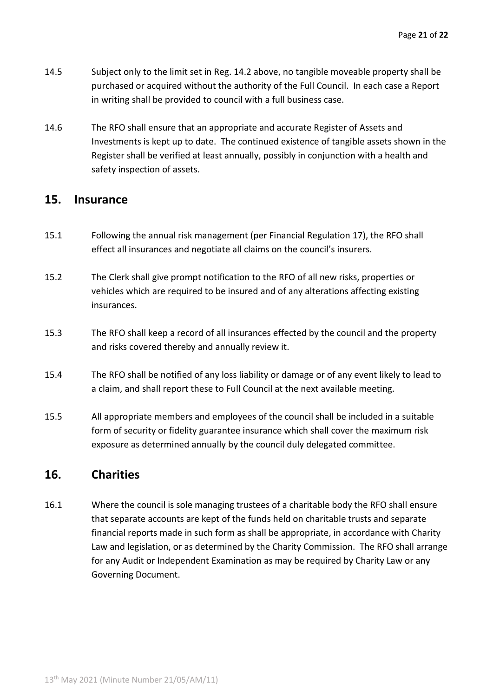- 14.5 Subject only to the limit set in Reg. 14.2 above, no tangible moveable property shall be purchased or acquired without the authority of the Full Council. In each case a Report in writing shall be provided to council with a full business case.
- 14.6 The RFO shall ensure that an appropriate and accurate Register of Assets and Investments is kept up to date. The continued existence of tangible assets shown in the Register shall be verified at least annually, possibly in conjunction with a health and safety inspection of assets.

#### **15. Insurance**

- 15.1 Following the annual risk management (per Financial Regulation 17), the RFO shall effect all insurances and negotiate all claims on the council's insurers.
- 15.2 The Clerk shall give prompt notification to the RFO of all new risks, properties or vehicles which are required to be insured and of any alterations affecting existing insurances.
- 15.3 The RFO shall keep a record of all insurances effected by the council and the property and risks covered thereby and annually review it.
- 15.4 The RFO shall be notified of any loss liability or damage or of any event likely to lead to a claim, and shall report these to Full Council at the next available meeting.
- 15.5 All appropriate members and employees of the council shall be included in a suitable form of security or fidelity guarantee insurance which shall cover the maximum risk exposure as determined annually by the council duly delegated committee.

## **16. Charities**

16.1 Where the council is sole managing trustees of a charitable body the RFO shall ensure that separate accounts are kept of the funds held on charitable trusts and separate financial reports made in such form as shall be appropriate, in accordance with Charity Law and legislation, or as determined by the Charity Commission. The RFO shall arrange for any Audit or Independent Examination as may be required by Charity Law or any Governing Document.